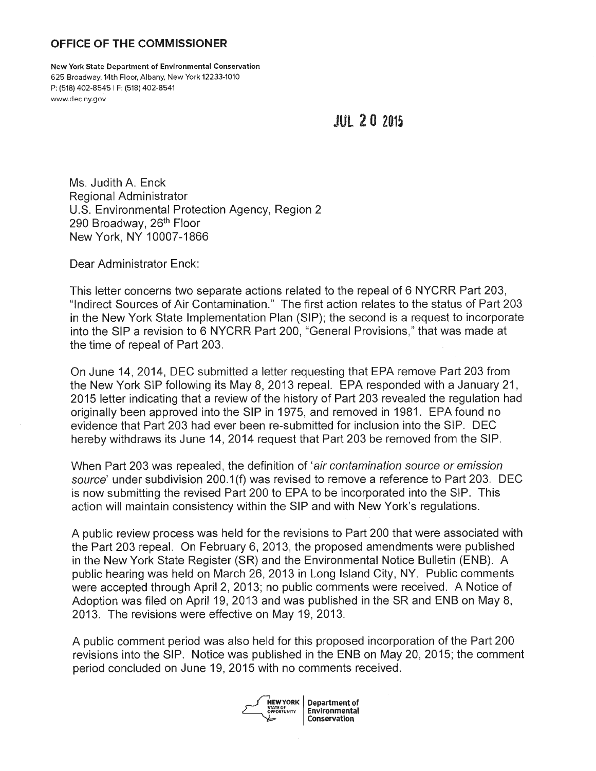## **OFFICE OF THE COMMISSIONER**

**New York State Department of Environmental Conservation**  625 Broadway, 14th Floor, Albany, New York 12233-1010 P: (518) 402-8545 I F: (518) 402-8541 <www.dec.ny.gov>

**JUL 2 0 2015** 

Ms. Judith A. Enck Regional Administrator U.S. Environmental Protection Agency, Region 2 290 Broadway, 26<sup>th</sup> Floor New York, NY 10007-1866

Dear Administrator Enck:

This letter concerns two separate actions related to the repeal of 6 NYCRR Part 203, "Indirect Sources of Air Contamination." The first action relates to the status of Part 203 · in the New York State Implementation Plan (SIP); the second is a request to incorporate into the SIP a revision to 6 NYCRR Part 200, "General Provisions," that was made at the time of repeal of Part 203.

On June 14, 2014, DEC submitted a letter requesting that EPA remove Part 203 from the New York SIP following its May 8, 2013 repeal. EPA responded with a January 21, 2015 letter indicating that a review of the history of Part 203 revealed the regulation had originally been approved into the SIP in 1975, and removed in 1981. EPA found no evidence that Part 203 had ever been re-submitted for inclusion into the SIP. DEC hereby withdraws its June 14, 2014 request that Part 203 be removed from the SIP.

When Part 203 was repealed, the definition of 'air contamination source or emission source' under subdivision 200.1(f) was revised to remove a reference to Part 203. DEC is now submitting the revised Part 200 to EPA to be incorporated into the SIP. This action will maintain consistency within the SIP and with New York's regulations.

A public review process was held for the revisions to Part 200 that were associated with the Part 203 repeal. On February 6, 2013, the proposed amendments were published in the New York State Register (SR) and the Environmental Notice Bulletin (ENB). A public hearing was held on March 26, 2013 in Long Island City, NY. Public comments were accepted through April 2, 2013; no public comments were received. A Notice of Adoption was filed on April 19, 2013 and was published in the SR and ENB on May 8, 2013. The revisions were effective on May 19, 2013.

A public comment period was also held for this proposed incorporation of the Part 200 revisions into the SIP. Notice was published in the ENB on May 20, 2015; the comment period concluded on June 19, 2015 with no comments received .